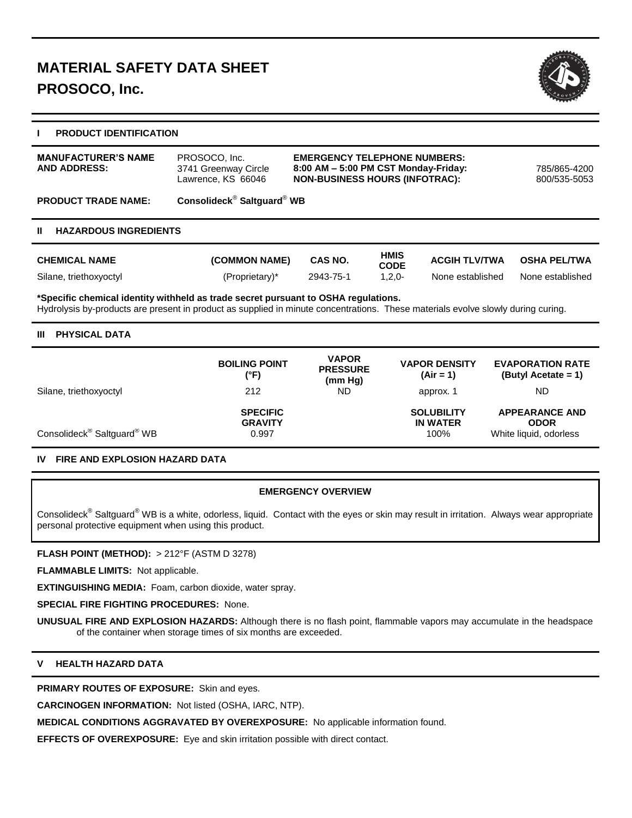

# **I PRODUCT IDENTIFICATION**

| <b>MANUFACTURER'S NAME</b><br><b>AND ADDRESS:</b>                                                                                                                                                                      | PROSOCO, Inc.<br>3741 Greenway Circle<br>Lawrence, KS 66046 | <b>EMERGENCY TELEPHONE NUMBERS:</b><br>8:00 AM - 5:00 PM CST Monday-Friday:<br><b>NON-BUSINESS HOURS (INFOTRAC):</b> |                            |                      | 785/865-4200<br>800/535-5053 |  |  |
|------------------------------------------------------------------------------------------------------------------------------------------------------------------------------------------------------------------------|-------------------------------------------------------------|----------------------------------------------------------------------------------------------------------------------|----------------------------|----------------------|------------------------------|--|--|
| <b>PRODUCT TRADE NAME:</b>                                                                                                                                                                                             | Consolideck <sup>®</sup> Saltguard <sup>®</sup> WB          |                                                                                                                      |                            |                      |                              |  |  |
| <b>HAZARDOUS INGREDIENTS</b><br>Ш                                                                                                                                                                                      |                                                             |                                                                                                                      |                            |                      |                              |  |  |
| <b>CHEMICAL NAME</b>                                                                                                                                                                                                   | (COMMON NAME)                                               | CAS NO.                                                                                                              | <b>HMIS</b><br><b>CODE</b> | <b>ACGIH TLV/TWA</b> | <b>OSHA PEL/TWA</b>          |  |  |
| Silane, triethoxyoctyl                                                                                                                                                                                                 | (Proprietary)*                                              | 2943-75-1                                                                                                            | $1,2,0-$                   | None established     | None established             |  |  |
| *Specific chemical identity withheld as trade secret pursuant to OSHA regulations.<br>Hydrolysis by-products are present in product as supplied in minute concentrations. These materials evolve slowly during curing. |                                                             |                                                                                                                      |                            |                      |                              |  |  |
| <b>PHYSICAL DATA</b><br>Ш                                                                                                                                                                                              |                                                             |                                                                                                                      |                            |                      |                              |  |  |

|                                                    | <b>BOILING POINT</b><br>(°F)               | <b>VAPOR</b><br><b>PRESSURE</b><br>(mm Hg) | <b>VAPOR DENSITY</b><br>$(Air = 1)$          | <b>EVAPORATION RATE</b><br>$(ButyI Accate = 1)$                |
|----------------------------------------------------|--------------------------------------------|--------------------------------------------|----------------------------------------------|----------------------------------------------------------------|
| Silane, triethoxyoctyl                             | 212                                        | ND.                                        | approx. 1                                    | ND.                                                            |
| Consolideck <sup>®</sup> Saltguard <sup>®</sup> WB | <b>SPECIFIC</b><br><b>GRAVITY</b><br>0.997 |                                            | <b>SOLUBILITY</b><br><b>IN WATER</b><br>100% | <b>APPEARANCE AND</b><br><b>ODOR</b><br>White liquid, odorless |

# **IV FIRE AND EXPLOSION HAZARD DATA**

## **EMERGENCY OVERVIEW**

Consolideck<sup>®</sup> Saltguard<sup>®</sup> WB is a white, odorless, liquid. Contact with the eyes or skin may result in irritation. Always wear appropriate personal protective equipment when using this product.

**FLASH POINT (METHOD):** > 212°F (ASTM D 3278)

**FLAMMABLE LIMITS:** Not applicable.

**EXTINGUISHING MEDIA:** Foam, carbon dioxide, water spray.

**SPECIAL FIRE FIGHTING PROCEDURES:** None.

**UNUSUAL FIRE AND EXPLOSION HAZARDS:** Although there is no flash point, flammable vapors may accumulate in the headspace of the container when storage times of six months are exceeded.

# **V HEALTH HAZARD DATA**

**PRIMARY ROUTES OF EXPOSURE:** Skin and eyes.

**CARCINOGEN INFORMATION:** Not listed (OSHA, IARC, NTP).

**MEDICAL CONDITIONS AGGRAVATED BY OVEREXPOSURE:** No applicable information found.

**EFFECTS OF OVEREXPOSURE:** Eye and skin irritation possible with direct contact.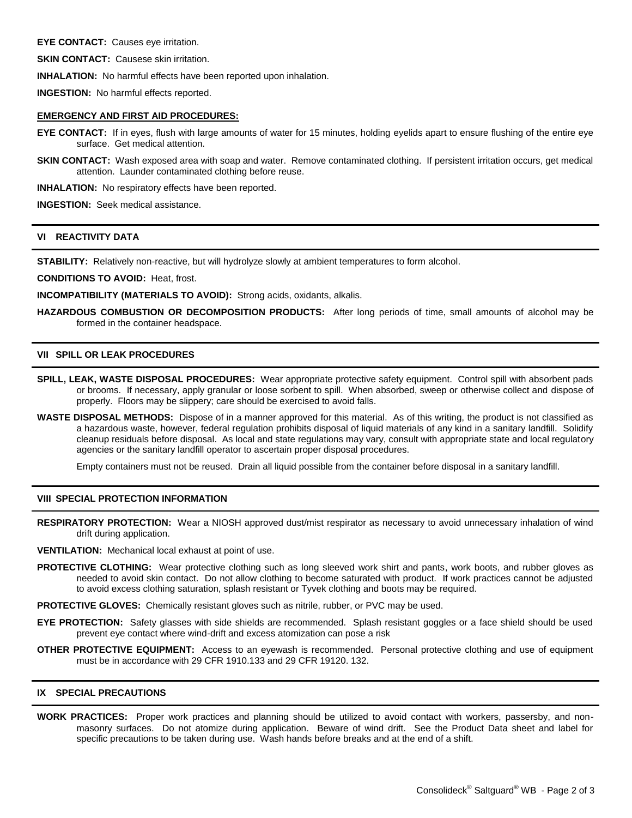**EYE CONTACT:** Causes eye irritation.

**SKIN CONTACT:** Causese skin irritation.

**INHALATION:** No harmful effects have been reported upon inhalation.

**INGESTION:** No harmful effects reported.

### **EMERGENCY AND FIRST AID PROCEDURES:**

- **EYE CONTACT:** If in eyes, flush with large amounts of water for 15 minutes, holding eyelids apart to ensure flushing of the entire eye surface. Get medical attention.
- **SKIN CONTACT:** Wash exposed area with soap and water. Remove contaminated clothing. If persistent irritation occurs, get medical attention. Launder contaminated clothing before reuse.

**INHALATION:** No respiratory effects have been reported.

**INGESTION:** Seek medical assistance.

## **VI REACTIVITY DATA**

**STABILITY:** Relatively non-reactive, but will hydrolyze slowly at ambient temperatures to form alcohol.

**CONDITIONS TO AVOID:** Heat, frost.

**INCOMPATIBILITY (MATERIALS TO AVOID):** Strong acids, oxidants, alkalis.

**HAZARDOUS COMBUSTION OR DECOMPOSITION PRODUCTS:** After long periods of time, small amounts of alcohol may be formed in the container headspace.

## **VII SPILL OR LEAK PROCEDURES**

- **SPILL, LEAK, WASTE DISPOSAL PROCEDURES:** Wear appropriate protective safety equipment. Control spill with absorbent pads or brooms. If necessary, apply granular or loose sorbent to spill. When absorbed, sweep or otherwise collect and dispose of properly. Floors may be slippery; care should be exercised to avoid falls.
- **WASTE DISPOSAL METHODS:** Dispose of in a manner approved for this material. As of this writing, the product is not classified as a hazardous waste, however, federal regulation prohibits disposal of liquid materials of any kind in a sanitary landfill. Solidify cleanup residuals before disposal. As local and state regulations may vary, consult with appropriate state and local regulatory agencies or the sanitary landfill operator to ascertain proper disposal procedures.

Empty containers must not be reused. Drain all liquid possible from the container before disposal in a sanitary landfill.

### **VIII SPECIAL PROTECTION INFORMATION**

**RESPIRATORY PROTECTION:** Wear a NIOSH approved dust/mist respirator as necessary to avoid unnecessary inhalation of wind drift during application.

**VENTILATION:** Mechanical local exhaust at point of use.

**PROTECTIVE CLOTHING:** Wear protective clothing such as long sleeved work shirt and pants, work boots, and rubber gloves as needed to avoid skin contact. Do not allow clothing to become saturated with product. If work practices cannot be adjusted to avoid excess clothing saturation, splash resistant or Tyvek clothing and boots may be required.

**PROTECTIVE GLOVES:** Chemically resistant gloves such as nitrile, rubber, or PVC may be used.

- **EYE PROTECTION:** Safety glasses with side shields are recommended. Splash resistant goggles or a face shield should be used prevent eye contact where wind-drift and excess atomization can pose a risk
- **OTHER PROTECTIVE EQUIPMENT:** Access to an eyewash is recommended. Personal protective clothing and use of equipment must be in accordance with 29 CFR 1910.133 and 29 CFR 19120. 132.

## **IX SPECIAL PRECAUTIONS**

**WORK PRACTICES:** Proper work practices and planning should be utilized to avoid contact with workers, passersby, and nonmasonry surfaces. Do not atomize during application. Beware of wind drift. See the Product Data sheet and label for specific precautions to be taken during use. Wash hands before breaks and at the end of a shift.